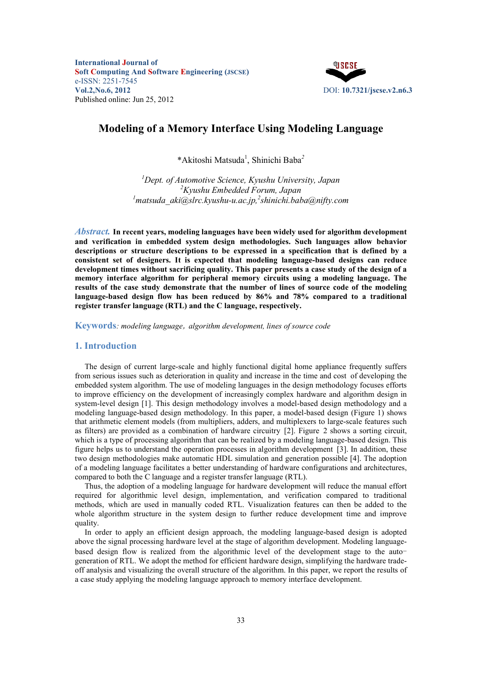

# **Modeling of a Memory Interface Using Modeling Language**

\*Akitoshi Matsuda<sup>1</sup> , Shinichi Baba*<sup>2</sup>*

*1 Dept. of Automotive Science, Kyushu University, Japan 2 Kyushu Embedded Forum, Japan 1 matsuda\_aki@slrc.kyushu-u.ac.jp,<sup>2</sup> shinichi.baba@nifty.com* 

*Abstract.* **In recent years, modeling languages have been widely used for algorithm development and verification in embedded system design methodologies. Such languages allow behavior descriptions or structure descriptions to be expressed in a specification that is defined by a consistent set of designers. It is expected that modeling language-based designs can reduce development times without sacrificing quality. This paper presents a case study of the design of a memory interface algorithm for peripheral memory circuits using a modeling language. The results of the case study demonstrate that the number of lines of source code of the modeling language-based design flow has been reduced by 86% and 78% compared to a traditional register transfer language (RTL) and the C language, respectively.** 

**Keywords***: modeling language*, *algorithm development, lines of source code* 

### **1. Introduction**

The design of current large-scale and highly functional digital home appliance frequently suffers from serious issues such as deterioration in quality and increase in the time and cost of developing the embedded system algorithm. The use of modeling languages in the design methodology focuses efforts to improve efficiency on the development of increasingly complex hardware and algorithm design in system-level design [1]. This design methodology involves a model-based design methodology and a modeling language-based design methodology. In this paper, a model-based design (Figure 1) shows that arithmetic element models (from multipliers, adders, and multiplexers to large-scale features such as filters) are provided as a combination of hardware circuitry [2]. Figure 2 shows a sorting circuit, which is a type of processing algorithm that can be realized by a modeling language-based design. This figure helps us to understand the operation processes in algorithm development [3]. In addition, these two design methodologies make automatic HDL simulation and generation possible [4]. The adoption of a modeling language facilitates a better understanding of hardware configurations and architectures, compared to both the C language and a register transfer language (RTL).

Thus, the adoption of a modeling language for hardware development will reduce the manual effort required for algorithmic level design, implementation, and verification compared to traditional methods, which are used in manually coded RTL. Visualization features can then be added to the whole algorithm structure in the system design to further reduce development time and improve quality.

In order to apply an efficient design approach, the modeling language-based design is adopted above the signal processing hardware level at the stage of algorithm development. Modeling languagebased design flow is realized from the algorithmic level of the development stage to the autogeneration of RTL. We adopt the method for efficient hardware design, simplifying the hardware tradeoff analysis and visualizing the overall structure of the algorithm. In this paper, we report the results of a case study applying the modeling language approach to memory interface development.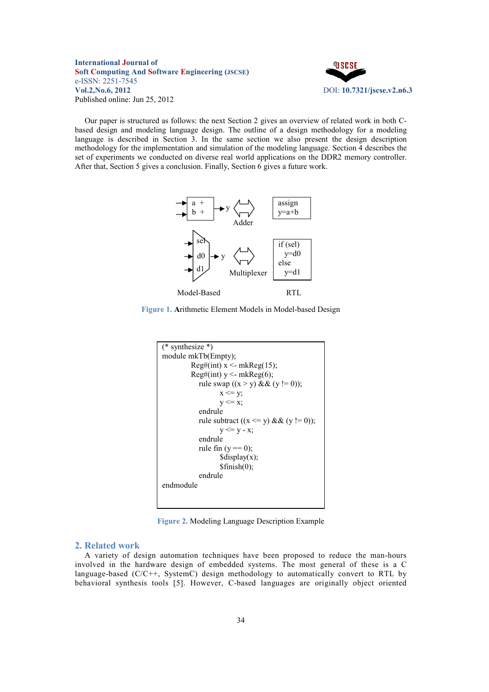

Our paper is structured as follows: the next Section 2 gives an overview of related work in both Cbased design and modeling language design. The outline of a design methodology for a modeling language is described in Section 3. In the same section we also present the design description methodology for the implementation and simulation of the modeling language. Section 4 describes the set of experiments we conducted on diverse real world applications on the DDR2 memory controller. After that, Section 5 gives a conclusion. Finally, Section 6 gives a future work.



Figure 1. Arithmetic Element Models in Model-based Design



**Figure 2.** Modeling Language Description Example

### **2. Related work**

A variety of design automation techniques have been proposed to reduce the man-hours involved in the hardware design of embedded systems. The most general of these is a C language-based (C/C++, SystemC) design methodology to automatically convert to RTL by behavioral synthesis tools [5]. However, C-based languages are originally object oriented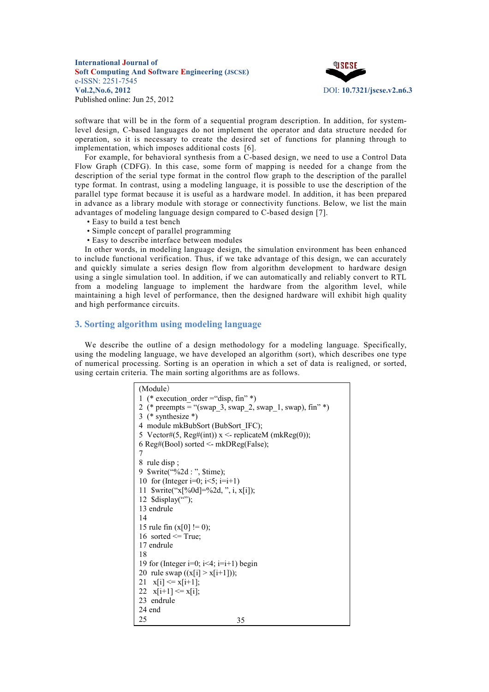

software that will be in the form of a sequential program description. In addition, for systemlevel design, C-based languages do not implement the operator and data structure needed for operation, so it is necessary to create the desired set of functions for planning through to implementation, which imposes additional costs [6].

For example, for behavioral synthesis from a C-based design, we need to use a Control Data Flow Graph (CDFG). In this case, some form of mapping is needed for a change from the description of the serial type format in the control flow graph to the description of the parallel type format. In contrast, using a modeling language, it is possible to use the description of the parallel type format because it is useful as a hardware model. In addition, it has been prepared in advance as a library module with storage or connectivity functions. Below, we list the main advantages of modeling language design compared to C-based design [7].

- Easy to build a test bench
- Simple concept of parallel programming
- Easy to describe interface between modules

In other words, in modeling language design, the simulation environment has been enhanced to include functional verification. Thus, if we take advantage of this design, we can accurately and quickly simulate a series design flow from algorithm development to hardware design using a single simulation tool. In addition, if we can automatically and reliably convert to RTL from a modeling language to implement the hardware from the algorithm level, while maintaining a high level of performance, then the designed hardware will exhibit high quality and high performance circuits.

### **3. Sorting algorithm using modeling language**

We describe the outline of a design methodology for a modeling language. Specifically, using the modeling language, we have developed an algorithm (sort), which describes one type of numerical processing. Sorting is an operation in which a set of data is realigned, or sorted, using certain criteria. The main sorting algorithms are as follows.

| (Module)                                                 |
|----------------------------------------------------------|
| 1 (* execution order = "disp, fin" *)                    |
| 2 (* preempts = "(swap 3, swap 2, swap 1, swap), fin" *) |
| 3 (* synthesize *)                                       |
| 4 module mkBubSort (BubSort IFC);                        |
| 5 Vector#(5, Reg#(int)) $x \le$ -replicateM (mkReg(0));  |
| 6 Reg#(Bool) sorted <- mkDReg(False);                    |
| 7                                                        |
| 8 rule disp;                                             |
|                                                          |
| 10 for (Integer i=0; $i < 5$ ; i=i+1)                    |
| 11 \$write("x[%0d]=%2d, ", i, x[i]);                     |
| 12 $\delta$ display("");                                 |
| 13 endrule                                               |
| 14                                                       |
| 15 rule fin $(x[0] = 0)$ ;                               |
| 16 sorted $\leq$ True;                                   |
| 17 endrule                                               |
| 18                                                       |
| 19 for (Integer i=0; i<4; i=i+1) begin                   |
| 20 rule swap $((x[i] > x[i+1]))$ ;                       |
| 21 $x[i] \leq x[i+1]$ ;                                  |
| 22 $x[i+1] \leq x[i];$                                   |
| 23 endrule                                               |
| 24 end                                                   |
| 25<br>35                                                 |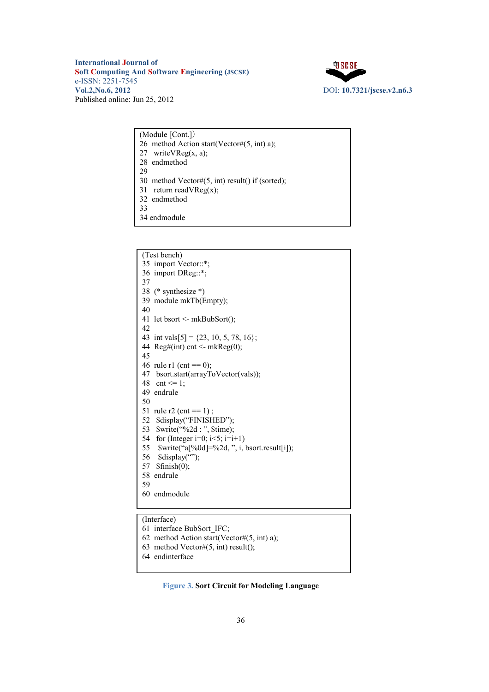

| (Module [Cont.])                                      |
|-------------------------------------------------------|
| 26 method Action start(Vector# $(5, int)$ a);         |
| 27 write $VReg(x, a)$ ;                               |
| 28 endmethod                                          |
| 29                                                    |
| 30 method Vector# $(5, int)$ result $()$ if (sorted); |
| 31 return read $VReg(x)$ ;                            |
| 32 endmethod                                          |
| 33                                                    |
| 34 endmodule                                          |

| (Test bench)                                                            |
|-------------------------------------------------------------------------|
| 35 import Vector::*;                                                    |
| 36 import DReg::*;                                                      |
| 37                                                                      |
| 38 (* synthesize *)                                                     |
| 39 module mkTb(Empty);                                                  |
| 40                                                                      |
| 41 let bsort <- mkBubSort();                                            |
| 42                                                                      |
| 43 int vals[5] = $\{23, 10, 5, 78, 16\}$ ;                              |
| 44 Reg#(int) cnt <- mkReg $(0)$ ;                                       |
| 45                                                                      |
| 46 rule r1 (cnt = 0);                                                   |
| 47 bsort.start(arrayToVector(vals));                                    |
| 48 cnt $\leq 1$ :                                                       |
| 49 endrule                                                              |
| 50                                                                      |
| 51 rule r2 (cnt = $1$ );                                                |
| 52 \$display("FINISHED");                                               |
| 53<br>\$write("%2d : ", \$time);                                        |
| 54 for (Integer i=0; i<5; i=i+1)                                        |
| 55 $\text{twrite}("a[%0d] = %2d, ", i, \text{bsort}.\text{result}[i]);$ |
| 56 $\delta$ sdisplay("");                                               |
| 57 $$finish(0);$                                                        |
| 58 endrule                                                              |
| 59                                                                      |
| 60 endmodule                                                            |
|                                                                         |
|                                                                         |

(Interface)

- 61 interface BubSort\_IFC;
- 62 method Action start(Vector# $(5, int)$  a);
- 63 method Vector# $(5, \text{int})$  result $($ );
- 64 endinterface

## **Figure 3. Sort Circuit for Modeling Language**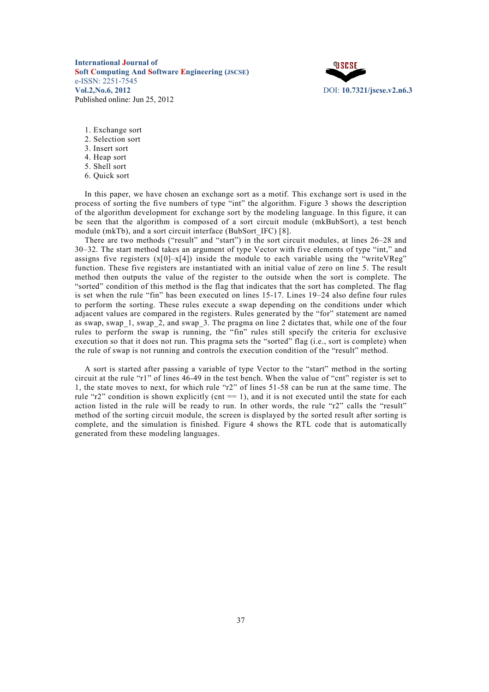

- 1. Exchange sort
- 2. Selection sort
- 3. Insert sort
- 4. Heap sort
- 5. Shell sort
- 6. Quick sort

In this paper, we have chosen an exchange sort as a motif. This exchange sort is used in the process of sorting the five numbers of type "int" the algorithm. Figure 3 shows the description of the algorithm development for exchange sort by the modeling language. In this figure, it can be seen that the algorithm is composed of a sort circuit module (mkBubSort), a test bench module (mkTb), and a sort circuit interface (BubSort\_IFC) [8].

There are two methods ("result" and "start") in the sort circuit modules, at lines 26–28 and 30–32. The start method takes an argument of type Vector with five elements of type "int," and assigns five registers  $(x[0]-x[4])$  inside the module to each variable using the "writeVReg" function. These five registers are instantiated with an initial value of zero on line 5. The result method then outputs the value of the register to the outside when the sort is complete. The "sorted" condition of this method is the flag that indicates that the sort has completed. The flag is set when the rule "fin" has been executed on lines 15-17. Lines 19–24 also define four rules to perform the sorting. These rules execute a swap depending on the conditions under which adjacent values are compared in the registers. Rules generated by the "for" statement are named as swap, swap\_1, swap\_2, and swap\_3. The pragma on line 2 dictates that, while one of the four rules to perform the swap is running, the "fin" rules still specify the criteria for exclusive execution so that it does not run. This pragma sets the "sorted" flag (i.e., sort is complete) when the rule of swap is not running and controls the execution condition of the "result" method.

A sort is started after passing a variable of type Vector to the "start" method in the sorting circuit at the rule "r1" of lines 46-49 in the test bench. When the value of "cnt" register is set to 1, the state moves to next, for which rule "r2" of lines 51-58 can be run at the same time. The rule " $r2$ " condition is shown explicitly (cnt == 1), and it is not executed until the state for each action listed in the rule will be ready to run. In other words, the rule "r2" calls the "result" method of the sorting circuit module, the screen is displayed by the sorted result after sorting is complete, and the simulation is finished. Figure 4 shows the RTL code that is automatically generated from these modeling languages.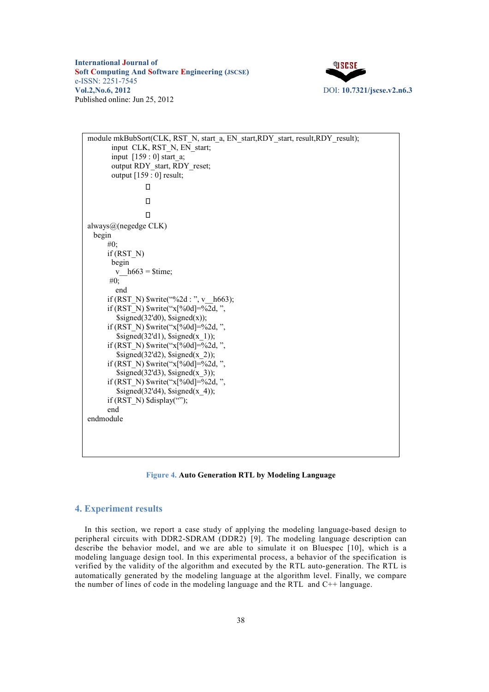

```
module mkBubSort(CLK, RST_N, start_a, EN_start,RDY_start, result,RDY_result);
       input CLK, RST_N, EN_start;
       input [159 : 0] start_a; 
       output RDY_start, RDY_reset;
       output [159 : 0] result; 
                  \Box\Box\Boxalways@(negedge CLK) 
 begin 
      #0; 
      if (RST_N) 
       begin 
         v h663 = $time;
        #0; 
         end 
      if (RST_N) \text{twrite}("\%2d : ", v_0_663);if (RST_N) \text{twrite}("x[%0d] = %2d, "$signed(32'd0), $signed(x));if (RST_N) \text{twrite}("x[%0d] = %2d, "$signed(32'd1), $signed(x_1));if (RST_N) \text{twrite}("x[%0d] = %2d, "$signed(32'd2), $signed(x 2));if (RST_N) $write("x[%0d]=%2d, ", 
         \sigma $signed(32'd3), $signed(x 3));
      if (RST_N) $write("x[%0d]=%2d, ", 
         $signed(32'd4), $signed(x 4);
      if (RST_N) \deltadisplay("");
      end 
endmodule
```
**Figure 4. Auto Generation RTL by Modeling Language**

## **4. Experiment results**

In this section, we report a case study of applying the modeling language-based design to peripheral circuits with DDR2-SDRAM (DDR2) [9]. The modeling language description can describe the behavior model, and we are able to simulate it on Bluespec [10], which is a modeling language design tool. In this experimental process, a behavior of the specification is verified by the validity of the algorithm and executed by the RTL auto-generation. The RTL is automatically generated by the modeling language at the algorithm level. Finally, we compare the number of lines of code in the modeling language and the RTL and C++ language.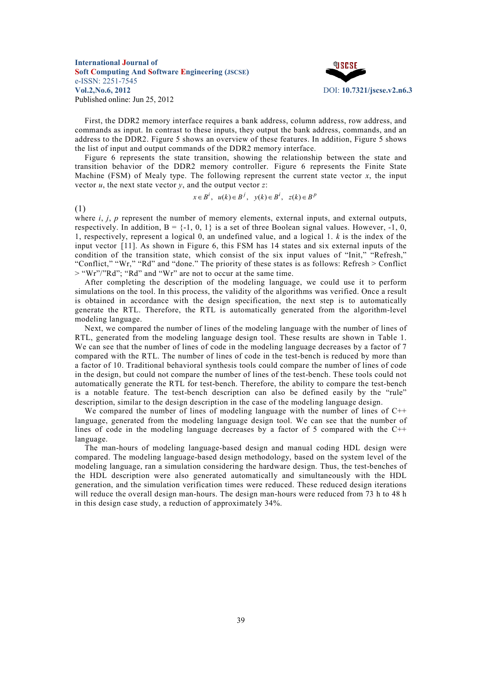

First, the DDR2 memory interface requires a bank address, column address, row address, and commands as input. In contrast to these inputs, they output the bank address, commands, and an address to the DDR2. Figure 5 shows an overview of these features. In addition, Figure 5 shows the list of input and output commands of the DDR2 memory interface.

Figure 6 represents the state transition, showing the relationship between the state and transition behavior of the DDR2 memory controller. Figure 6 represents the Finite State Machine (FSM) of Mealy type. The following represent the current state vector  $x$ , the input vector  $u$ , the next state vector  $y$ , and the output vector  $z$ :

$$
x \in B^i
$$
,  $u(k) \in B^j$ ,  $y(k) \in B^i$ ,  $z(k) \in B^p$ 

(1)

where  $i$ ,  $j$ ,  $p$  represent the number of memory elements, external inputs, and external outputs, respectively. In addition,  $B = \{-1, 0, 1\}$  is a set of three Boolean signal values. However,  $-1, 0,$ 1, respectively, represent a logical 0, an undefined value, and a logical 1. *k* is the index of the input vector [11]. As shown in Figure 6, this FSM has 14 states and six external inputs of the condition of the transition state, which consist of the six input values of "Init," "Refresh," "Conflict," "Wr," "Rd" and "done." The priority of these states is as follows: Refresh > Conflict  $>$  "Wr"/"Rd"; "Rd" and "Wr" are not to occur at the same time.

After completing the description of the modeling language, we could use it to perform simulations on the tool. In this process, the validity of the algorithms was verified. Once a result is obtained in accordance with the design specification, the next step is to automatically generate the RTL. Therefore, the RTL is automatically generated from the algorithm-level modeling language.

Next, we compared the number of lines of the modeling language with the number of lines of RTL, generated from the modeling language design tool. These results are shown in Table 1. We can see that the number of lines of code in the modeling language decreases by a factor of 7 compared with the RTL. The number of lines of code in the test-bench is reduced by more than a factor of 10. Traditional behavioral synthesis tools could compare the number of lines of code in the design, but could not compare the number of lines of the test-bench. These tools could not automatically generate the RTL for test-bench. Therefore, the ability to compare the test-bench is a notable feature. The test-bench description can also be defined easily by the "rule" description, similar to the design description in the case of the modeling language design.

We compared the number of lines of modeling language with the number of lines of C++ language, generated from the modeling language design tool. We can see that the number of lines of code in the modeling language decreases by a factor of 5 compared with the  $C^{++}$ language.

The man-hours of modeling language-based design and manual coding HDL design were compared. The modeling language-based design methodology, based on the system level of the modeling language, ran a simulation considering the hardware design. Thus, the test-benches of the HDL description were also generated automatically and simultaneously with the HDL generation, and the simulation verification times were reduced. These reduced design iterations will reduce the overall design man-hours. The design man-hours were reduced from 73 h to 48 h in this design case study, a reduction of approximately 34%.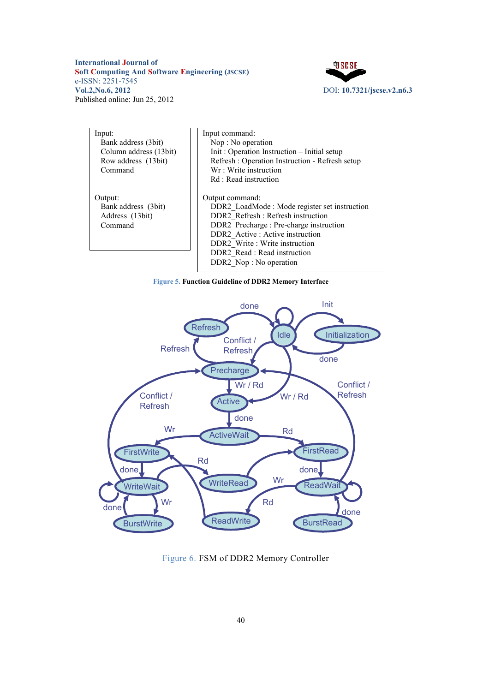

| Input:<br>Bank address (3bit)<br>Column address (13bit)<br>Row address (13bit)<br>Command | Input command:<br>Nop: No operation<br>Init: Operation Instruction - Initial setup<br>Refresh: Operation Instruction - Refresh setup<br>Wr: Write instruction<br>Rd: Read instruction                                                                                         |  |
|-------------------------------------------------------------------------------------------|-------------------------------------------------------------------------------------------------------------------------------------------------------------------------------------------------------------------------------------------------------------------------------|--|
| Output:<br>Bank address (3bit)<br>Address (13bit)<br>Command                              | Output command:<br>DDR2 LoadMode: Mode register set instruction<br>DDR2 Refresh : Refresh instruction<br>DDR2 Precharge: Pre-charge instruction<br>DDR2 Active: Active instruction<br>DDR2 Write: Write instruction<br>DDR2 Read : Read instruction<br>DDR2 Nop: No operation |  |

**Figure 5. Function Guideline of DDR2 Memory Interface** 



Figure 6. FSM of DDR2 Memory Controller